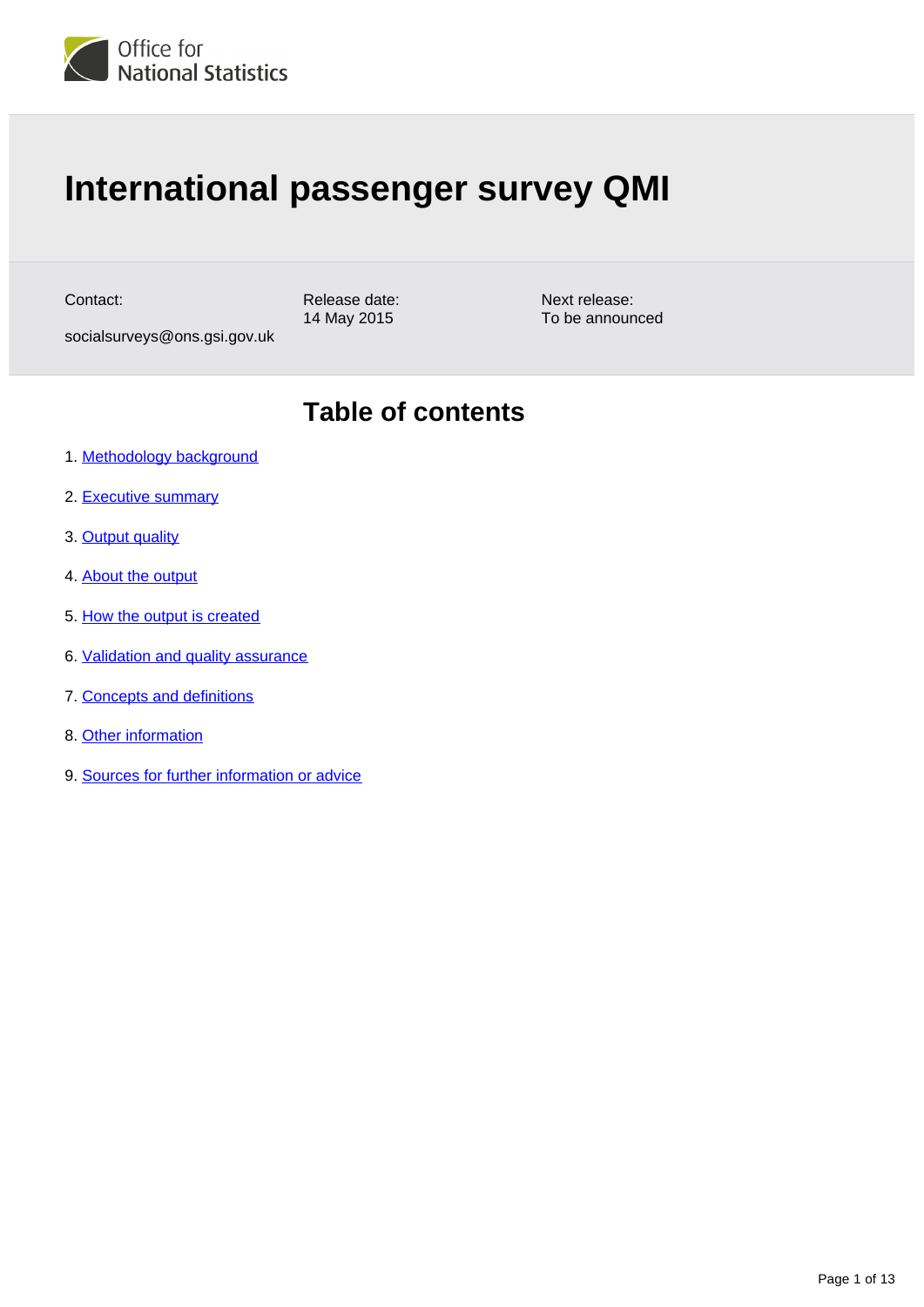

# **International passenger survey QMI**

Contact:

Release date: 14 May 2015

Next release: To be announced

# **Table of contents**

1. [Methodology background](#page-1-0)

socialsurveys@ons.gsi.gov.uk

- 2. [Executive summary](#page-1-1)
- 3. [Output quality](#page-2-0)
- 4. [About the output](#page-2-1)
- 5. [How the output is created](#page-4-0)
- 6. [Validation and quality assurance](#page-8-0)
- 7. [Concepts and definitions](#page-9-0)
- 8. [Other information](#page-9-1)
- 9. [Sources for further information or advice](#page-11-0)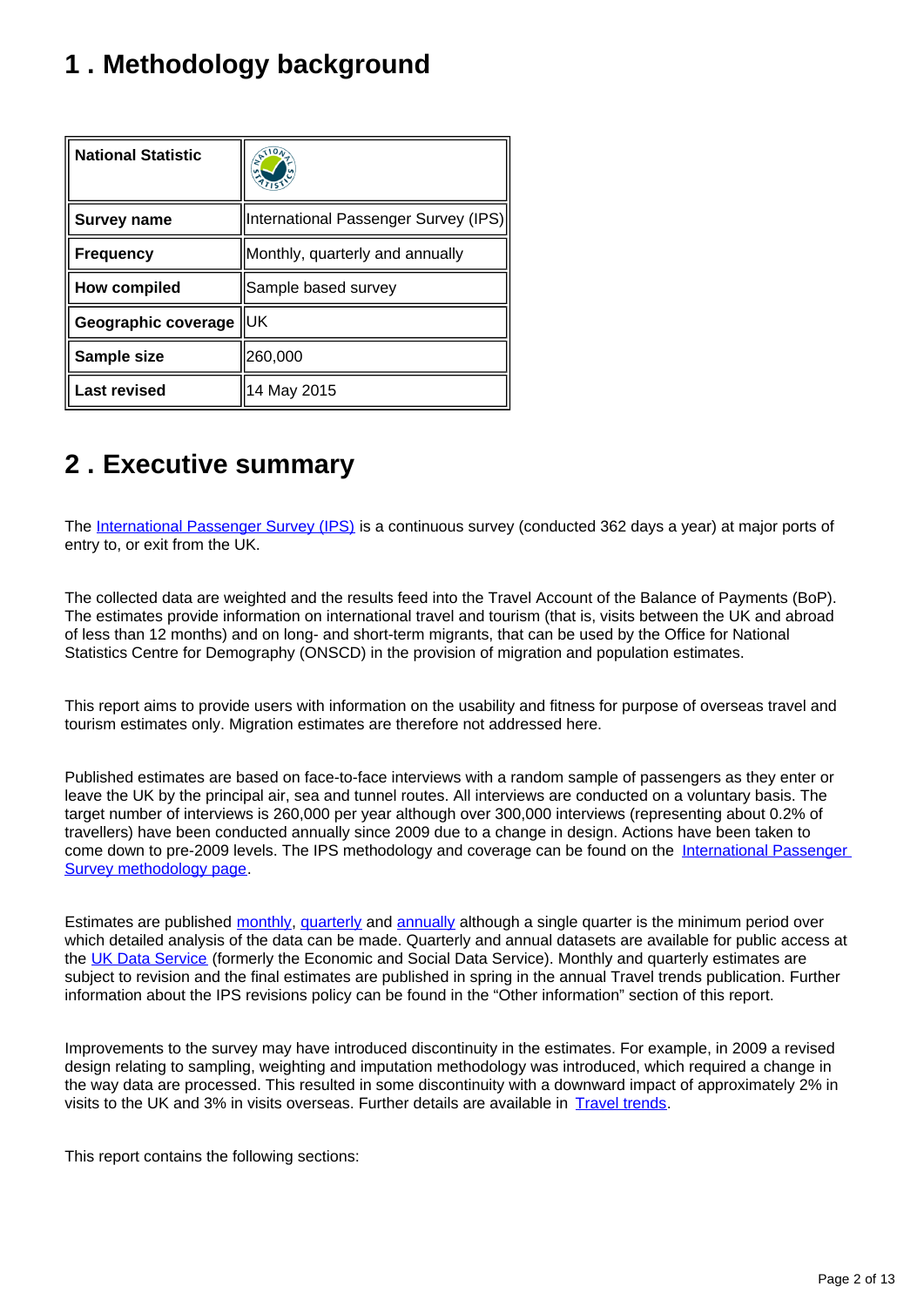# <span id="page-1-0"></span>**1 . Methodology background**

| <b>National Statistic</b> | $\mathcal{E}^{\mathcal{A}}$          |
|---------------------------|--------------------------------------|
| <b>Survey name</b>        | International Passenger Survey (IPS) |
| <b>Frequency</b>          | Monthly, quarterly and annually      |
| <b>How compiled</b>       | Sample based survey                  |
| Geographic coverage       | lluk                                 |
| Sample size               | 260,000                              |
| <b>Last revised</b>       | 14 May 2015                          |

# <span id="page-1-1"></span>**2 . Executive summary**

The [International Passenger Survey \(IPS\)](https://www.ons.gov.uk/surveys/informationforhouseholdsandindividuals/householdandindividualsurveys/internationalpassengersurveyips) is a continuous survey (conducted 362 days a year) at major ports of entry to, or exit from the UK.

The collected data are weighted and the results feed into the Travel Account of the Balance of Payments (BoP). The estimates provide information on international travel and tourism (that is, visits between the UK and abroad of less than 12 months) and on long- and short-term migrants, that can be used by the Office for National Statistics Centre for Demography (ONSCD) in the provision of migration and population estimates.

This report aims to provide users with information on the usability and fitness for purpose of overseas travel and tourism estimates only. Migration estimates are therefore not addressed here.

Published estimates are based on face-to-face interviews with a random sample of passengers as they enter or leave the UK by the principal air, sea and tunnel routes. All interviews are conducted on a voluntary basis. The target number of interviews is 260,000 per year although over 300,000 interviews (representing about 0.2% of travellers) have been conducted annually since 2009 due to a change in design. Actions have been taken to come down to pre-2009 levels. The IPS methodology and coverage can be found on the International Passenger [Survey methodology page](https://www.ons.gov.uk/peoplepopulationandcommunity/leisureandtourism/methodologies/internationalpassengersurveymethodology).

Estimates are published [monthly](https://www.ons.gov.uk/peoplepopulationandcommunity/leisureandtourism/bulletins/overseastravelandtourism/previousReleases), [quarterly](https://www.ons.gov.uk/peoplepopulationandcommunity/leisureandtourism/articles/overseastravelandtourismprovisionalresults/previousReleases) and [annually](https://www.ons.gov.uk/peoplepopulationandcommunity/leisureandtourism/articles/traveltrends/previousReleases) although a single quarter is the minimum period over which detailed analysis of the data can be made. Quarterly and annual datasets are available for public access at the [UK Data Service](http://discover.ukdataservice.ac.uk/series/?sn=2000025) (formerly the Economic and Social Data Service). Monthly and quarterly estimates are subject to revision and the final estimates are published in spring in the annual Travel trends publication. Further information about the IPS revisions policy can be found in the "Other information" section of this report.

Improvements to the survey may have introduced discontinuity in the estimates. For example, in 2009 a revised design relating to sampling, weighting and imputation methodology was introduced, which required a change in the way data are processed. This resulted in some discontinuity with a downward impact of approximately 2% in visits to the UK and 3% in visits overseas. Further details are available in [Travel trends.](https://www.ons.gov.uk/peoplepopulationandcommunity/leisureandtourism/articles/traveltrends/previousReleases)

This report contains the following sections: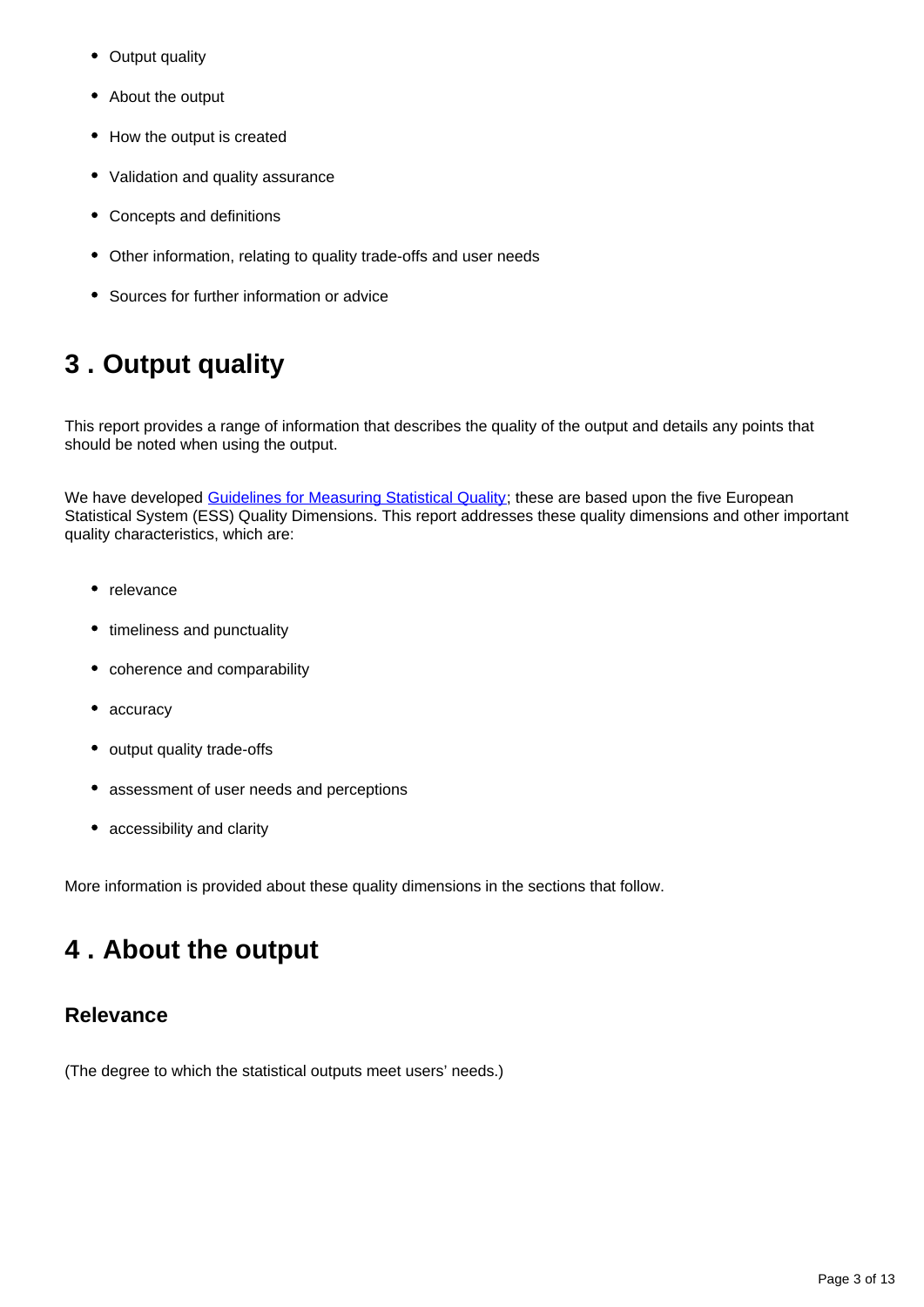- Output quality
- About the output
- How the output is created
- Validation and quality assurance
- Concepts and definitions
- Other information, relating to quality trade-offs and user needs
- Sources for further information or advice

# <span id="page-2-0"></span>**3 . Output quality**

This report provides a range of information that describes the quality of the output and details any points that should be noted when using the output.

We have developed [Guidelines for Measuring Statistical Quality;](http://webarchive.nationalarchives.gov.uk/20160105160709/http:/www.ons.gov.uk/ons/guide-method/method-quality/quality/guidelines-for-measuring-statistical-quality/index.html) these are based upon the five European Statistical System (ESS) Quality Dimensions. This report addresses these quality dimensions and other important quality characteristics, which are:

- relevance
- timeliness and punctuality
- coherence and comparability
- accuracy
- output quality trade-offs
- assessment of user needs and perceptions
- accessibility and clarity

More information is provided about these quality dimensions in the sections that follow.

# <span id="page-2-1"></span>**4 . About the output**

#### **Relevance**

(The degree to which the statistical outputs meet users' needs.)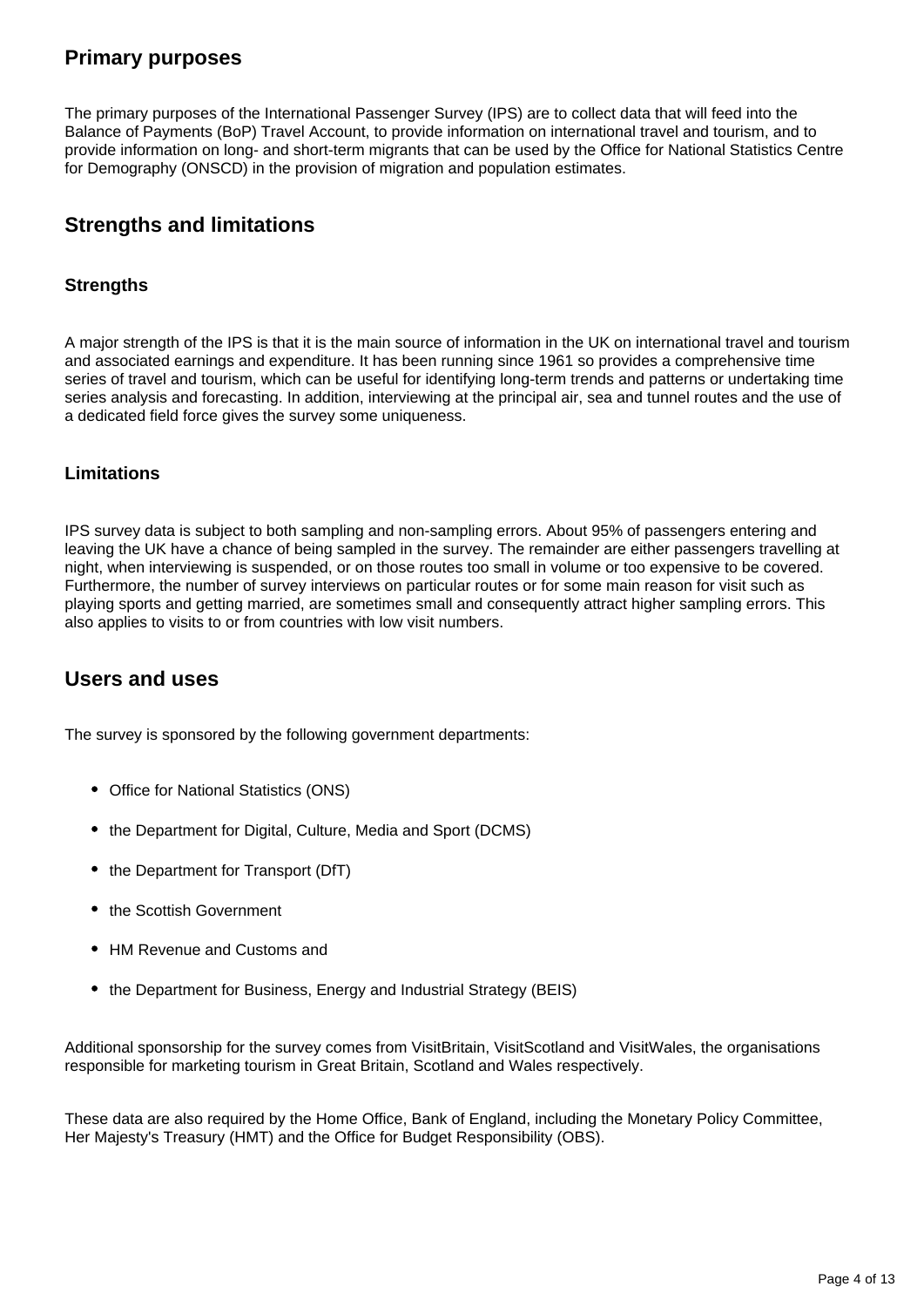#### **Primary purposes**

The primary purposes of the International Passenger Survey (IPS) are to collect data that will feed into the Balance of Payments (BoP) Travel Account, to provide information on international travel and tourism, and to provide information on long- and short-term migrants that can be used by the Office for National Statistics Centre for Demography (ONSCD) in the provision of migration and population estimates.

### **Strengths and limitations**

#### **Strengths**

A major strength of the IPS is that it is the main source of information in the UK on international travel and tourism and associated earnings and expenditure. It has been running since 1961 so provides a comprehensive time series of travel and tourism, which can be useful for identifying long-term trends and patterns or undertaking time series analysis and forecasting. In addition, interviewing at the principal air, sea and tunnel routes and the use of a dedicated field force gives the survey some uniqueness.

#### **Limitations**

IPS survey data is subject to both sampling and non-sampling errors. About 95% of passengers entering and leaving the UK have a chance of being sampled in the survey. The remainder are either passengers travelling at night, when interviewing is suspended, or on those routes too small in volume or too expensive to be covered. Furthermore, the number of survey interviews on particular routes or for some main reason for visit such as playing sports and getting married, are sometimes small and consequently attract higher sampling errors. This also applies to visits to or from countries with low visit numbers.

#### **Users and uses**

The survey is sponsored by the following government departments:

- Office for National Statistics (ONS)
- the Department for Digital, Culture, Media and Sport (DCMS)
- the Department for Transport (DfT)
- the Scottish Government
- HM Revenue and Customs and
- the Department for Business, Energy and Industrial Strategy (BEIS)

Additional sponsorship for the survey comes from VisitBritain, VisitScotland and VisitWales, the organisations responsible for marketing tourism in Great Britain, Scotland and Wales respectively.

These data are also required by the Home Office, Bank of England, including the Monetary Policy Committee, Her Majesty's Treasury (HMT) and the Office for Budget Responsibility (OBS).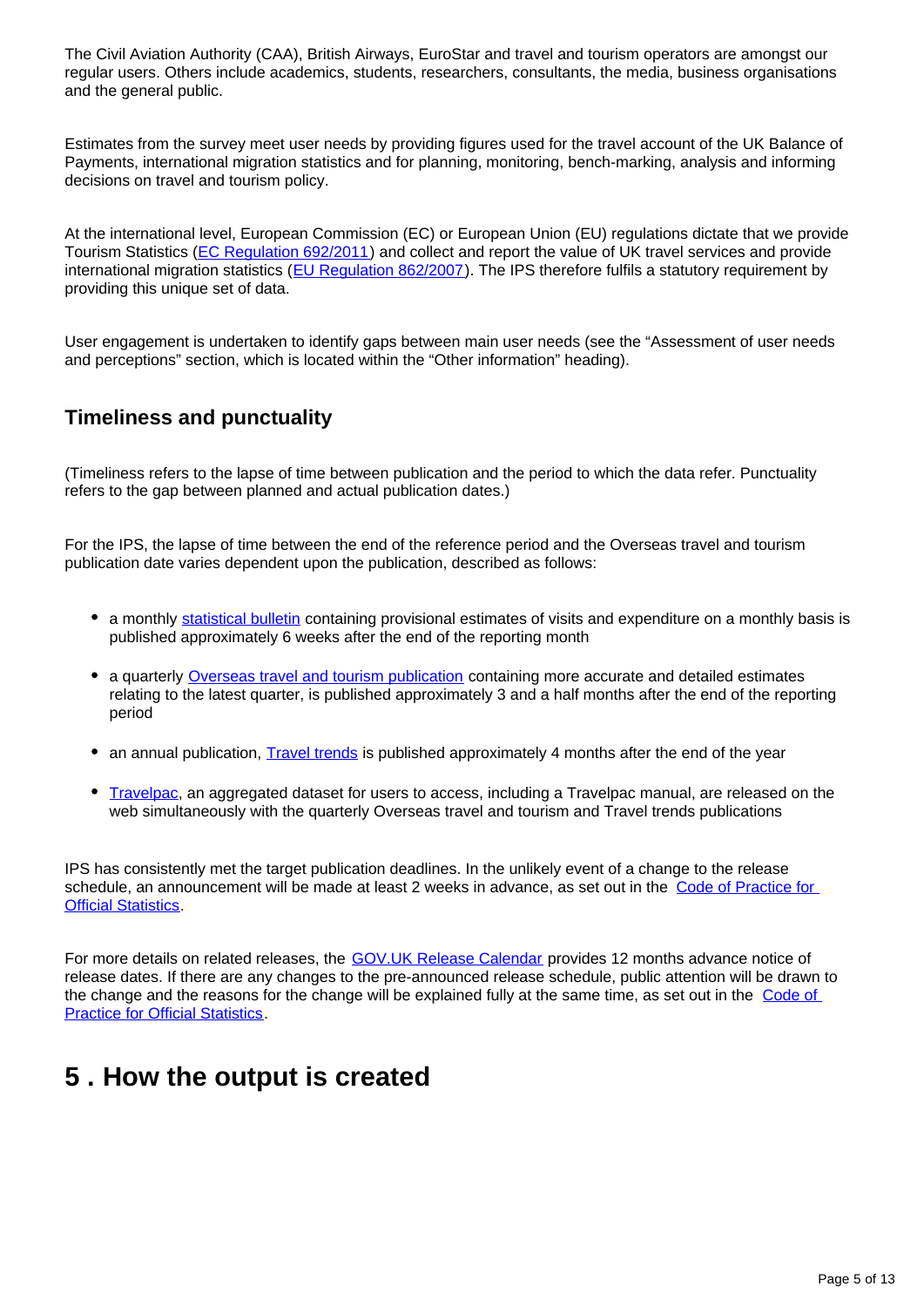The Civil Aviation Authority (CAA), British Airways, EuroStar and travel and tourism operators are amongst our regular users. Others include academics, students, researchers, consultants, the media, business organisations and the general public.

Estimates from the survey meet user needs by providing figures used for the travel account of the UK Balance of Payments, international migration statistics and for planning, monitoring, bench-marking, analysis and informing decisions on travel and tourism policy.

At the international level, European Commission (EC) or European Union (EU) regulations dictate that we provide Tourism Statistics ([EC Regulation 692/2011](http://eur-lex.europa.eu/LexUriServ/LexUriServ.do?uri=OJ:L:2011:192:0017:0032:EN:PDF)) and collect and report the value of UK travel services and provide international migration statistics ([EU Regulation 862/2007\)](http://eur-lex.europa.eu/LexUriServ/LexUriServ.do?uri=OJ:L:2007:199:0023:0029:EN:PDF). The IPS therefore fulfils a statutory requirement by providing this unique set of data.

User engagement is undertaken to identify gaps between main user needs (see the "Assessment of user needs and perceptions" section, which is located within the "Other information" heading).

#### **Timeliness and punctuality**

(Timeliness refers to the lapse of time between publication and the period to which the data refer. Punctuality refers to the gap between planned and actual publication dates.)

For the IPS, the lapse of time between the end of the reference period and the Overseas travel and tourism publication date varies dependent upon the publication, described as follows:

- a monthly [statistical bulletin](https://www.ons.gov.uk/peoplepopulationandcommunity/leisureandtourism/bulletins/overseastravelandtourism/previousReleases) containing provisional estimates of visits and expenditure on a monthly basis is published approximately 6 weeks after the end of the reporting month
- a quarterly **[Overseas travel and tourism publication](https://www.ons.gov.uk/peoplepopulationandcommunity/leisureandtourism/articles/overseastravelandtourismprovisionalresults/previousReleases)** containing more accurate and detailed estimates relating to the latest quarter, is published approximately 3 and a half months after the end of the reporting period
- an annual publication, **Travel trends** is published approximately 4 months after the end of the year
- [Travelpac,](https://www.ons.gov.uk/peoplepopulationandcommunity/leisureandtourism/datasets/travelpac) an aggregated dataset for users to access, including a Travelpac manual, are released on the web simultaneously with the quarterly Overseas travel and tourism and Travel trends publications

IPS has consistently met the target publication deadlines. In the unlikely event of a change to the release schedule, an announcement will be made at least 2 weeks in advance, as set out in the Code of Practice for **[Official Statistics](http://www.statisticsauthority.gov.uk/assessment/code-of-practice/index.html)** 

For more details on related releases, the **[GOV.UK Release Calendar](https://www.gov.uk/government/statistics/announcements)** provides 12 months advance notice of release dates. If there are any changes to the pre-announced release schedule, public attention will be drawn to the change and the reasons for the change will be explained fully at the same time, as set out in the Code of **[Practice for Official Statistics](http://www.statisticsauthority.gov.uk/assessment/code-of-practice/index.html).** 

# <span id="page-4-0"></span>**5 . How the output is created**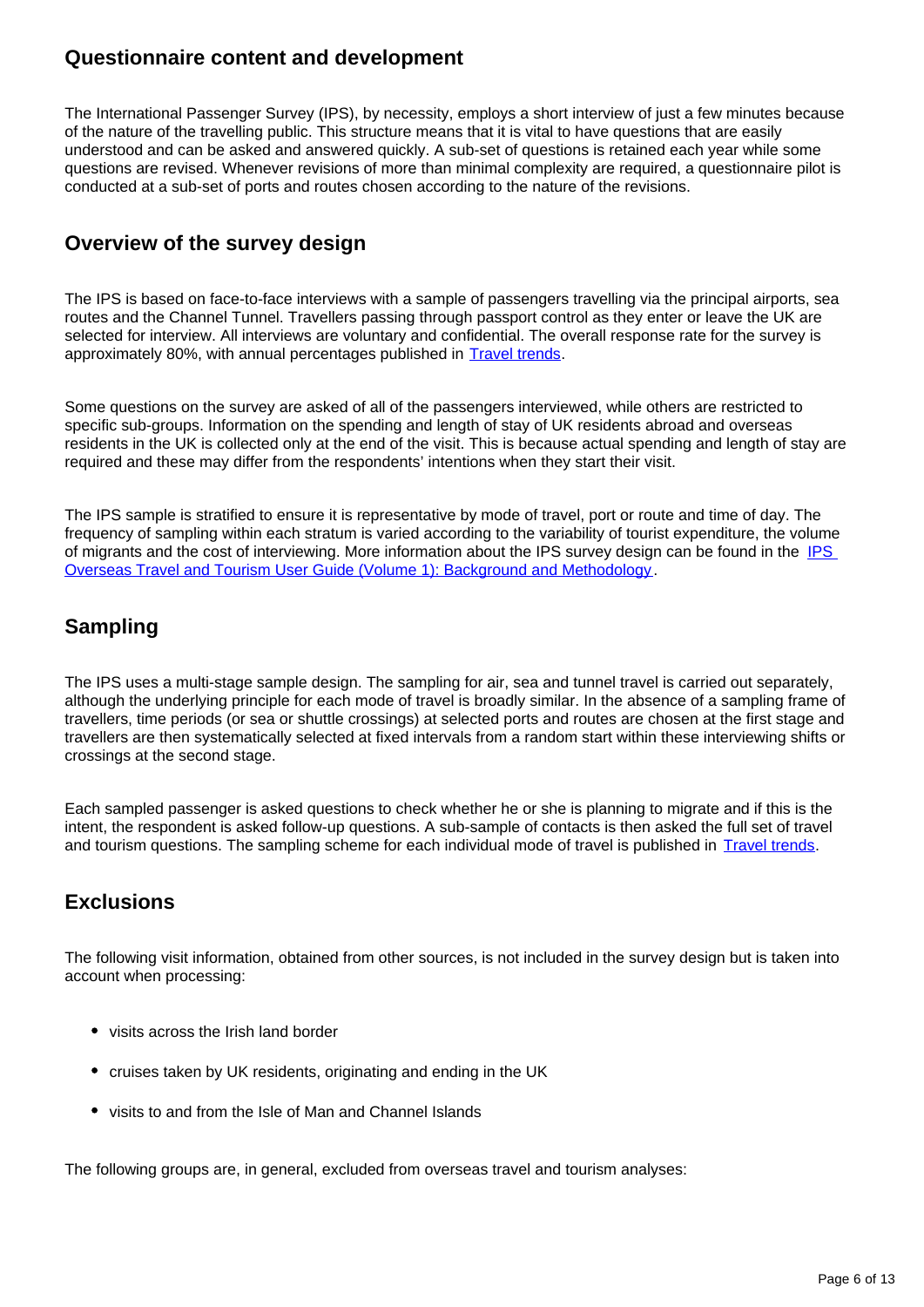#### **Questionnaire content and development**

The International Passenger Survey (IPS), by necessity, employs a short interview of just a few minutes because of the nature of the travelling public. This structure means that it is vital to have questions that are easily understood and can be asked and answered quickly. A sub-set of questions is retained each year while some questions are revised. Whenever revisions of more than minimal complexity are required, a questionnaire pilot is conducted at a sub-set of ports and routes chosen according to the nature of the revisions.

## **Overview of the survey design**

The IPS is based on face-to-face interviews with a sample of passengers travelling via the principal airports, sea routes and the Channel Tunnel. Travellers passing through passport control as they enter or leave the UK are selected for interview. All interviews are voluntary and confidential. The overall response rate for the survey is approximately 80%, with annual percentages published in **Travel trends**.

Some questions on the survey are asked of all of the passengers interviewed, while others are restricted to specific sub-groups. Information on the spending and length of stay of UK residents abroad and overseas residents in the UK is collected only at the end of the visit. This is because actual spending and length of stay are required and these may differ from the respondents' intentions when they start their visit.

The IPS sample is stratified to ensure it is representative by mode of travel, port or route and time of day. The frequency of sampling within each stratum is varied according to the variability of tourist expenditure, the volume of migrants and the cost of interviewing. More information about the [IPS](http://webarchive.nationalarchives.gov.uk/20160105160709/http:/www.ons.gov.uk/ons/guide-method/method-quality/specific/travel-and-transport-methodology/international-passenger-survey-methodology/ips-user-guide-volume-1--background---methodology.pdf) survey design can be found in the IPS [Overseas Travel and Tourism User Guide \(Volume 1\): Background and Methodology](http://webarchive.nationalarchives.gov.uk/20160105160709/http:/www.ons.gov.uk/ons/guide-method/method-quality/specific/travel-and-transport-methodology/international-passenger-survey-methodology/ips-user-guide-volume-1--background---methodology.pdf) .

## **Sampling**

The IPS uses a multi-stage sample design. The sampling for air, sea and tunnel travel is carried out separately, although the underlying principle for each mode of travel is broadly similar. In the absence of a sampling frame of travellers, time periods (or sea or shuttle crossings) at selected ports and routes are chosen at the first stage and travellers are then systematically selected at fixed intervals from a random start within these interviewing shifts or crossings at the second stage.

Each sampled passenger is asked questions to check whether he or she is planning to migrate and if this is the intent, the respondent is asked follow-up questions. A sub-sample of contacts is then asked the full set of travel and tourism questions. The sampling scheme for each individual mode of travel is published in [Travel trends](https://www.ons.gov.uk/peoplepopulationandcommunity/leisureandtourism/articles/traveltrends/previousReleases).

# **Exclusions**

The following visit information, obtained from other sources, is not included in the survey design but is taken into account when processing:

- visits across the Irish land border
- cruises taken by UK residents, originating and ending in the UK
- visits to and from the Isle of Man and Channel Islands

The following groups are, in general, excluded from overseas travel and tourism analyses: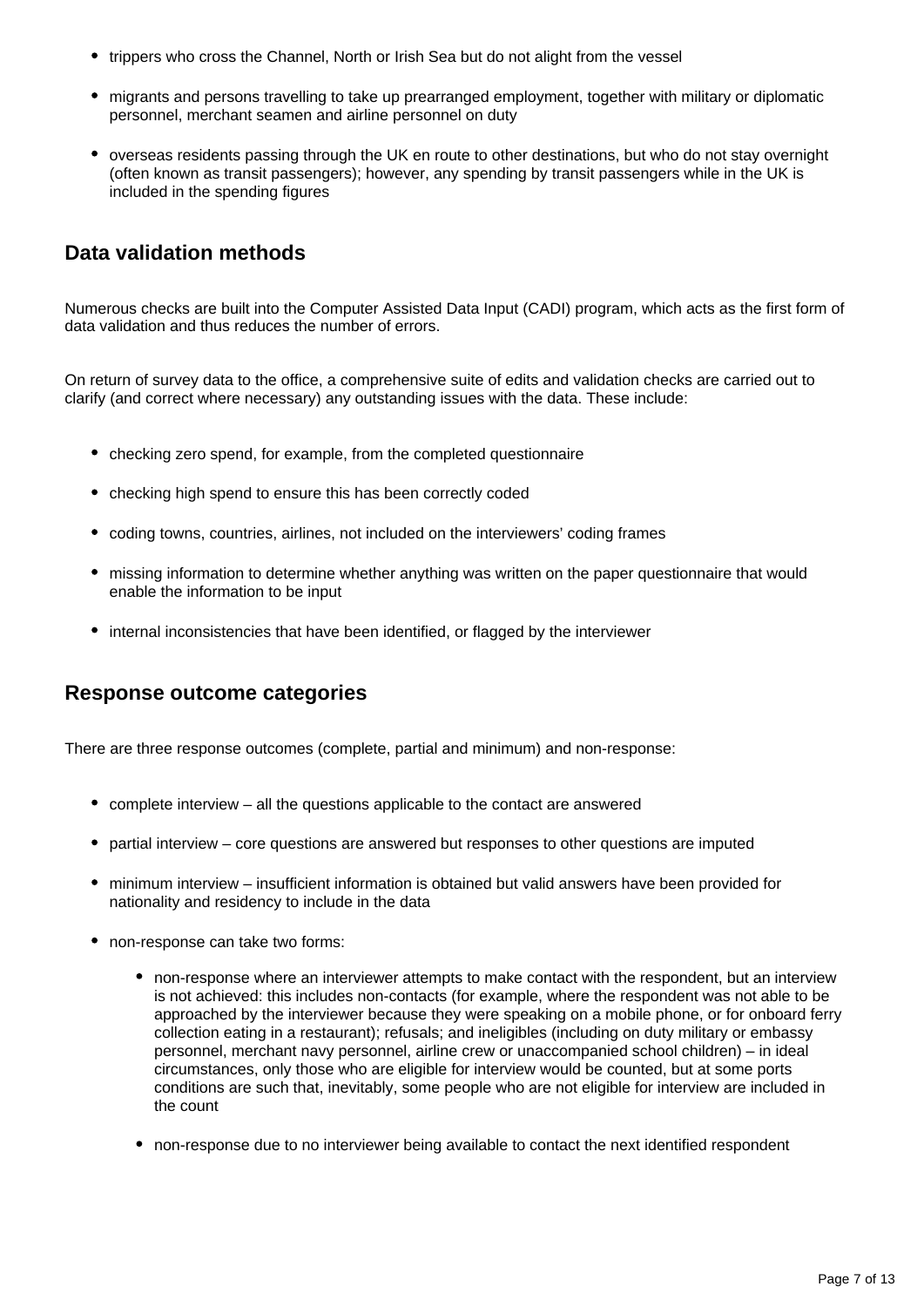- trippers who cross the Channel, North or Irish Sea but do not alight from the vessel
- migrants and persons travelling to take up prearranged employment, together with military or diplomatic personnel, merchant seamen and airline personnel on duty
- overseas residents passing through the UK en route to other destinations, but who do not stay overnight (often known as transit passengers); however, any spending by transit passengers while in the UK is included in the spending figures

## **Data validation methods**

Numerous checks are built into the Computer Assisted Data Input (CADI) program, which acts as the first form of data validation and thus reduces the number of errors.

On return of survey data to the office, a comprehensive suite of edits and validation checks are carried out to clarify (and correct where necessary) any outstanding issues with the data. These include:

- checking zero spend, for example, from the completed questionnaire
- checking high spend to ensure this has been correctly coded
- coding towns, countries, airlines, not included on the interviewers' coding frames
- missing information to determine whether anything was written on the paper questionnaire that would enable the information to be input
- internal inconsistencies that have been identified, or flagged by the interviewer

#### **Response outcome categories**

There are three response outcomes (complete, partial and minimum) and non-response:

- complete interview all the questions applicable to the contact are answered
- partial interview core questions are answered but responses to other questions are imputed
- minimum interview insufficient information is obtained but valid answers have been provided for nationality and residency to include in the data
- non-response can take two forms:
	- non-response where an interviewer attempts to make contact with the respondent, but an interview is not achieved: this includes non-contacts (for example, where the respondent was not able to be approached by the interviewer because they were speaking on a mobile phone, or for onboard ferry collection eating in a restaurant); refusals; and ineligibles (including on duty military or embassy personnel, merchant navy personnel, airline crew or unaccompanied school children) – in ideal circumstances, only those who are eligible for interview would be counted, but at some ports conditions are such that, inevitably, some people who are not eligible for interview are included in the count
	- non-response due to no interviewer being available to contact the next identified respondent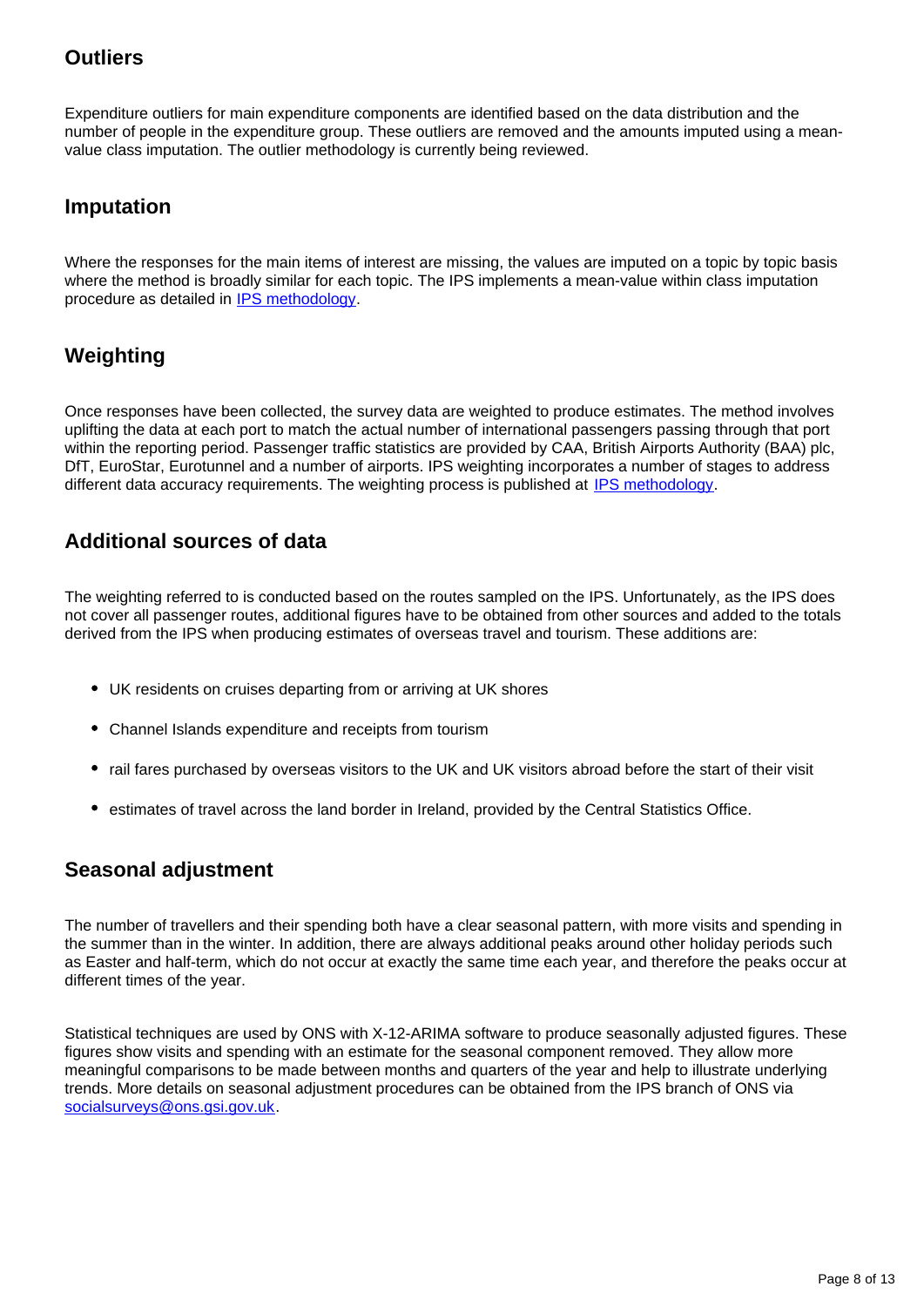### **Outliers**

Expenditure outliers for main expenditure components are identified based on the data distribution and the number of people in the expenditure group. These outliers are removed and the amounts imputed using a meanvalue class imputation. The outlier methodology is currently being reviewed.

## **Imputation**

Where the responses for the main items of interest are missing, the values are imputed on a topic by topic basis where the method is broadly similar for each topic. The IPS implements a mean-value within class imputation procedure as detailed in [IPS methodology.](https://www.ons.gov.uk/peoplepopulationandcommunity/leisureandtourism/methodologies/internationalpassengersurveymethodology)

# **Weighting**

Once responses have been collected, the survey data are weighted to produce estimates. The method involves uplifting the data at each port to match the actual number of international passengers passing through that port within the reporting period. Passenger traffic statistics are provided by CAA, British Airports Authority (BAA) plc, DfT, EuroStar, Eurotunnel and a number of airports. IPS weighting incorporates a number of stages to address different data accuracy requirements. The weighting process is published at [IPS methodology](https://www.ons.gov.uk/peoplepopulationandcommunity/leisureandtourism/methodologies/internationalpassengersurveymethodology).

## **Additional sources of data**

The weighting referred to is conducted based on the routes sampled on the IPS. Unfortunately, as the IPS does not cover all passenger routes, additional figures have to be obtained from other sources and added to the totals derived from the IPS when producing estimates of overseas travel and tourism. These additions are:

- UK residents on cruises departing from or arriving at UK shores
- Channel Islands expenditure and receipts from tourism
- rail fares purchased by overseas visitors to the UK and UK visitors abroad before the start of their visit
- **•** estimates of travel across the land border in Ireland, provided by the Central Statistics Office.

### **Seasonal adjustment**

The number of travellers and their spending both have a clear seasonal pattern, with more visits and spending in the summer than in the winter. In addition, there are always additional peaks around other holiday periods such as Easter and half-term, which do not occur at exactly the same time each year, and therefore the peaks occur at different times of the year.

Statistical techniques are used by ONS with X-12-ARIMA software to produce seasonally adjusted figures. These figures show visits and spending with an estimate for the seasonal component removed. They allow more meaningful comparisons to be made between months and quarters of the year and help to illustrate underlying trends. More details on seasonal adjustment procedures can be obtained from the IPS branch of ONS via socialsurveys@ons.gsi.gov.uk.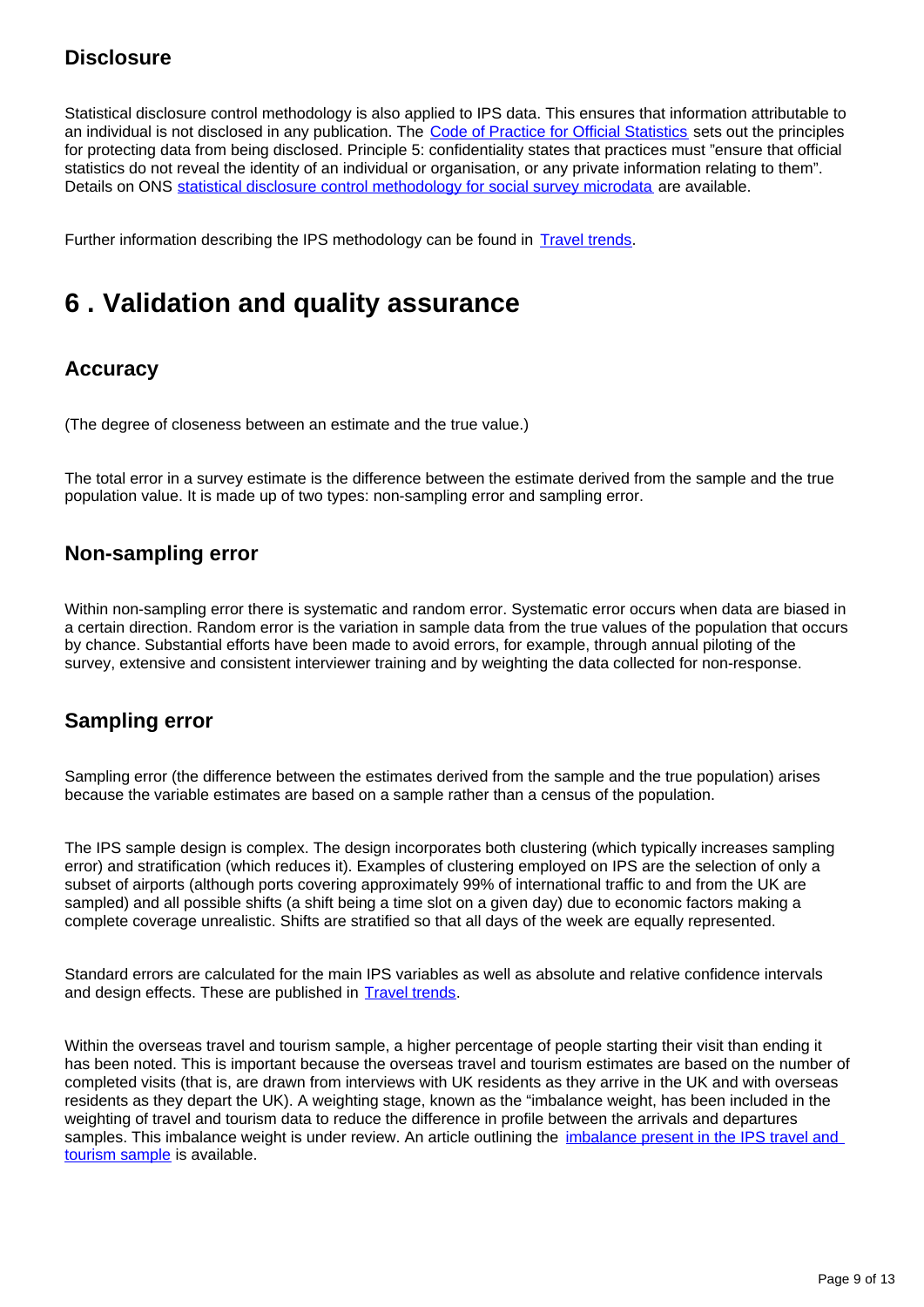## **Disclosure**

Statistical disclosure control methodology is also applied to IPS data. This ensures that information attributable to an individual is not disclosed in any publication. The [Code of Practice for Official Statistics](http://www.statisticsauthority.gov.uk/assessment/code-of-practice/index.html) sets out the principles for protecting data from being disclosed. Principle 5: confidentiality states that practices must "ensure that official statistics do not reveal the identity of an individual or organisation, or any private information relating to them". Details on ONS [statistical disclosure control methodology for social survey microdata](https://www.ons.gov.uk/methodology/methodologytopicsandstatisticalconcepts/disclosurecontrol/policyforsocialsurveymicrodata) are available.

Further information describing the IPS methodology can be found in [Travel trends](https://www.ons.gov.uk/peoplepopulationandcommunity/leisureandtourism/articles/traveltrends/previousReleases).

# <span id="page-8-0"></span>**6 . Validation and quality assurance**

# **Accuracy**

(The degree of closeness between an estimate and the true value.)

The total error in a survey estimate is the difference between the estimate derived from the sample and the true population value. It is made up of two types: non-sampling error and sampling error.

#### **Non-sampling error**

Within non-sampling error there is systematic and random error. Systematic error occurs when data are biased in a certain direction. Random error is the variation in sample data from the true values of the population that occurs by chance. Substantial efforts have been made to avoid errors, for example, through annual piloting of the survey, extensive and consistent interviewer training and by weighting the data collected for non-response.

### **Sampling error**

Sampling error (the difference between the estimates derived from the sample and the true population) arises because the variable estimates are based on a sample rather than a census of the population.

The IPS sample design is complex. The design incorporates both clustering (which typically increases sampling error) and stratification (which reduces it). Examples of clustering employed on IPS are the selection of only a subset of airports (although ports covering approximately 99% of international traffic to and from the UK are sampled) and all possible shifts (a shift being a time slot on a given day) due to economic factors making a complete coverage unrealistic. Shifts are stratified so that all days of the week are equally represented.

Standard errors are calculated for the main IPS variables as well as absolute and relative confidence intervals and design effects. These are published in **[Travel trends](https://www.ons.gov.uk/peoplepopulationandcommunity/leisureandtourism/articles/traveltrends/previousReleases)**.

Within the overseas travel and tourism sample, a higher percentage of people starting their visit than ending it has been noted. This is important because the overseas travel and tourism estimates are based on the number of completed visits (that is, are drawn from interviews with UK residents as they arrive in the UK and with overseas residents as they depart the UK). A weighting stage, known as the "imbalance weight, has been included in the weighting of travel and tourism data to reduce the difference in profile between the arrivals and departures samples. This imbalance weight is under review. An article outlining the *imbalance present* in the IPS travel and [tourism sample](http://webarchive.nationalarchives.gov.uk/20160105160709/http:/www.ons.gov.uk/ons/guide-method/method-quality/specific/travel-and-transport-methodology/international-passenger-survey-methodology/investigation-of-imbalance-in-the-ips-travel-and-tourism-sam) is available.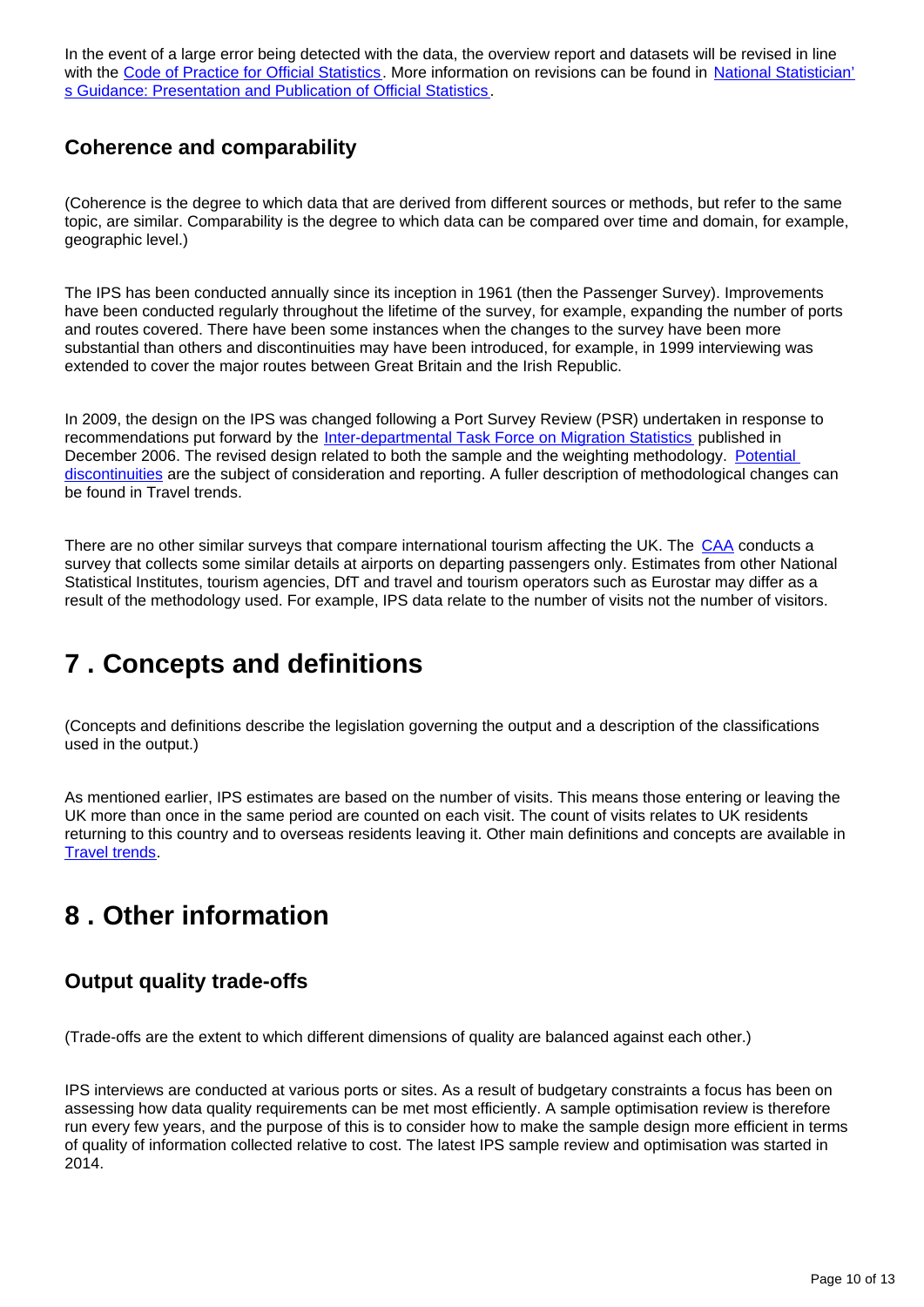In the event of a large error being detected with the data, the overview report and datasets will be revised in line with the [Code of Practice for Official Statistics](http://www.statisticsauthority.gov.uk/assessment/code-of-practice/index.html). More information on revisions can be found in [National Statistician'](http://www.statisticsauthority.gov.uk/national-statistician/ns-reports--reviews-and-guidance/national-statistician-s-guidance/index.html) [s Guidance: Presentation and Publication of Official Statistics.](http://www.statisticsauthority.gov.uk/national-statistician/ns-reports--reviews-and-guidance/national-statistician-s-guidance/index.html)

### **Coherence and comparability**

(Coherence is the degree to which data that are derived from different sources or methods, but refer to the same topic, are similar. Comparability is the degree to which data can be compared over time and domain, for example, geographic level.)

The IPS has been conducted annually since its inception in 1961 (then the Passenger Survey). Improvements have been conducted regularly throughout the lifetime of the survey, for example, expanding the number of ports and routes covered. There have been some instances when the changes to the survey have been more substantial than others and discontinuities may have been introduced, for example, in 1999 interviewing was extended to cover the major routes between Great Britain and the Irish Republic.

In 2009, the design on the IPS was changed following a Port Survey Review (PSR) undertaken in response to recommendations put forward by the [Inter-departmental Task Force on Migration Statistics](http://webarchive.nationalarchives.gov.uk/20160128184713/http:/www.ons.gov.uk/ons/guide-method/method-quality/imps/archive-material/archive-updates-and-reports/2006/index.html) published in December 2006. The revised design related to both the sample and the weighting methodology. Potential [discontinuities](http://webarchive.nationalarchives.gov.uk/20160128184713/http:/www.ons.gov.uk/ons/guide-method/method-quality/specific/travel-and-transport-methodology/international-passenger-survey-methodology/changes-in-the-international-passenger-survey-methodology-1-) are the subject of consideration and reporting. A fuller description of methodological changes can be found in Travel trends.

There are no other similar surveys that compare international tourism affecting the UK. The [CAA](http://www.caa.co.uk/) conducts a survey that collects some similar details at airports on departing passengers only. Estimates from other National Statistical Institutes, tourism agencies, DfT and travel and tourism operators such as Eurostar may differ as a result of the methodology used. For example, IPS data relate to the number of visits not the number of visitors.

# <span id="page-9-0"></span>**7 . Concepts and definitions**

(Concepts and definitions describe the legislation governing the output and a description of the classifications used in the output.)

As mentioned earlier, IPS estimates are based on the number of visits. This means those entering or leaving the UK more than once in the same period are counted on each visit. The count of visits relates to UK residents returning to this country and to overseas residents leaving it. Other main definitions and concepts are available in **[Travel trends.](https://www.ons.gov.uk/peoplepopulationandcommunity/leisureandtourism/articles/traveltrends/previousReleases)** 

# <span id="page-9-1"></span>**8 . Other information**

# **Output quality trade-offs**

(Trade-offs are the extent to which different dimensions of quality are balanced against each other.)

IPS interviews are conducted at various ports or sites. As a result of budgetary constraints a focus has been on assessing how data quality requirements can be met most efficiently. A sample optimisation review is therefore run every few years, and the purpose of this is to consider how to make the sample design more efficient in terms of quality of information collected relative to cost. The latest IPS sample review and optimisation was started in 2014.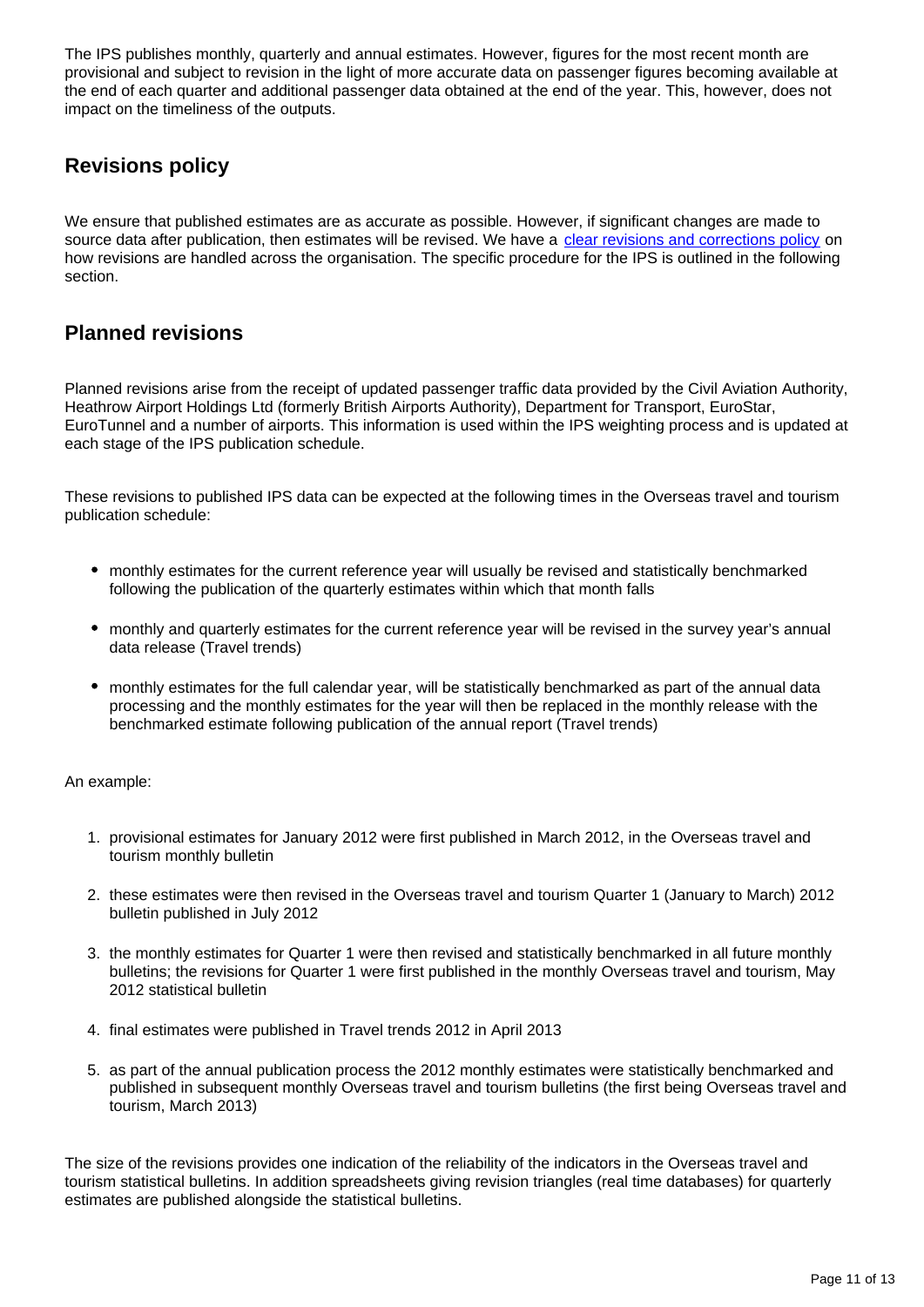The IPS publishes monthly, quarterly and annual estimates. However, figures for the most recent month are provisional and subject to revision in the light of more accurate data on passenger figures becoming available at the end of each quarter and additional passenger data obtained at the end of the year. This, however, does not impact on the timeliness of the outputs.

# **Revisions policy**

We ensure that published estimates are as accurate as possible. However, if significant changes are made to source data after publication, then estimates will be revised. We have a [clear revisions and corrections policy](https://www.ons.gov.uk/methodology/methodologytopicsandstatisticalconcepts/revisions/guidetostatisticalrevisions) on how revisions are handled across the organisation. The specific procedure for the IPS is outlined in the following section.

#### **Planned revisions**

Planned revisions arise from the receipt of updated passenger traffic data provided by the Civil Aviation Authority, Heathrow Airport Holdings Ltd (formerly British Airports Authority), Department for Transport, EuroStar, EuroTunnel and a number of airports. This information is used within the IPS weighting process and is updated at each stage of the IPS publication schedule.

These revisions to published IPS data can be expected at the following times in the Overseas travel and tourism publication schedule:

- monthly estimates for the current reference year will usually be revised and statistically benchmarked following the publication of the quarterly estimates within which that month falls
- monthly and quarterly estimates for the current reference year will be revised in the survey year's annual data release (Travel trends)
- monthly estimates for the full calendar year, will be statistically benchmarked as part of the annual data processing and the monthly estimates for the year will then be replaced in the monthly release with the benchmarked estimate following publication of the annual report (Travel trends)

An example:

- 1. provisional estimates for January 2012 were first published in March 2012, in the Overseas travel and tourism monthly bulletin
- 2. these estimates were then revised in the Overseas travel and tourism Quarter 1 (January to March) 2012 bulletin published in July 2012
- 3. the monthly estimates for Quarter 1 were then revised and statistically benchmarked in all future monthly bulletins; the revisions for Quarter 1 were first published in the monthly Overseas travel and tourism, May 2012 statistical bulletin
- 4. final estimates were published in Travel trends 2012 in April 2013
- 5. as part of the annual publication process the 2012 monthly estimates were statistically benchmarked and published in subsequent monthly Overseas travel and tourism bulletins (the first being Overseas travel and tourism, March 2013)

The size of the revisions provides one indication of the reliability of the indicators in the Overseas travel and tourism statistical bulletins. In addition spreadsheets giving revision triangles (real time databases) for quarterly estimates are published alongside the statistical bulletins.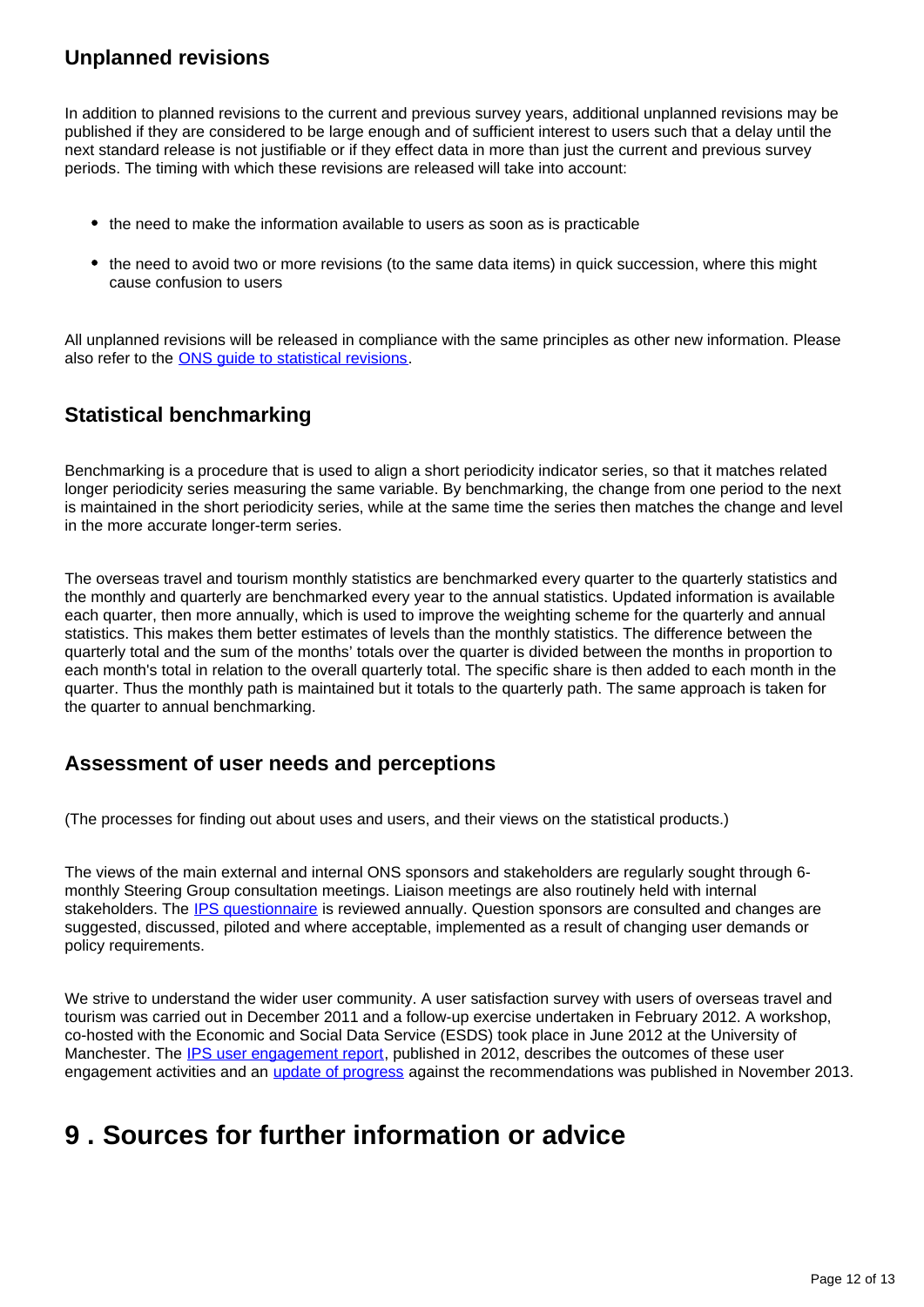### **Unplanned revisions**

In addition to planned revisions to the current and previous survey years, additional unplanned revisions may be published if they are considered to be large enough and of sufficient interest to users such that a delay until the next standard release is not justifiable or if they effect data in more than just the current and previous survey periods. The timing with which these revisions are released will take into account:

- the need to make the information available to users as soon as is practicable
- the need to avoid two or more revisions (to the same data items) in quick succession, where this might cause confusion to users

All unplanned revisions will be released in compliance with the same principles as other new information. Please also refer to the [ONS guide to statistical revisions](https://www.ons.gov.uk/methodology/methodologytopicsandstatisticalconcepts/revisions/guidetostatisticalrevisions).

### **Statistical benchmarking**

Benchmarking is a procedure that is used to align a short periodicity indicator series, so that it matches related longer periodicity series measuring the same variable. By benchmarking, the change from one period to the next is maintained in the short periodicity series, while at the same time the series then matches the change and level in the more accurate longer-term series.

The overseas travel and tourism monthly statistics are benchmarked every quarter to the quarterly statistics and the monthly and quarterly are benchmarked every year to the annual statistics. Updated information is available each quarter, then more annually, which is used to improve the weighting scheme for the quarterly and annual statistics. This makes them better estimates of levels than the monthly statistics. The difference between the quarterly total and the sum of the months' totals over the quarter is divided between the months in proportion to each month's total in relation to the overall quarterly total. The specific share is then added to each month in the quarter. Thus the monthly path is maintained but it totals to the quarterly path. The same approach is taken for the quarter to annual benchmarking.

#### **Assessment of user needs and perceptions**

(The processes for finding out about uses and users, and their views on the statistical products.)

The views of the main external and internal ONS sponsors and stakeholders are regularly sought through 6 monthly Steering Group consultation meetings. Liaison meetings are also routinely held with internal stakeholders. The [IPS questionnaire](http://webarchive.nationalarchives.gov.uk/20160105160709/http:/www.ons.gov.uk/ons/guide-method/method-quality/specific/travel-and-transport-methodology/international-passenger-survey-methodology/international-passenger-survey---air-passengers-questionnair) is reviewed annually. Question sponsors are consulted and changes are suggested, discussed, piloted and where acceptable, implemented as a result of changing user demands or policy requirements.

We strive to understand the wider user community. A user satisfaction survey with users of overseas travel and tourism was carried out in December 2011 and a follow-up exercise undertaken in February 2012. A workshop, co-hosted with the Economic and Social Data Service (ESDS) took place in June 2012 at the University of Manchester. The [IPS user engagement report,](https://www.ons.gov.uk/peoplepopulationandcommunity/leisureandtourism/bulletins/overseastravelandtourism/previousReleases) published in 2012, describes the outcomes of these user engagement activities and an [update of progress](http://webarchive.nationalarchives.gov.uk/20160105160709/http:/www.ons.gov.uk/ons/guide-method/method-quality/specific/travel-and-transport-methodology/international-passenger-survey-methodology/international-passenger-survey-user-engagement-report-2012-u) against the recommendations was published in November 2013.

# <span id="page-11-0"></span>**9 . Sources for further information or advice**